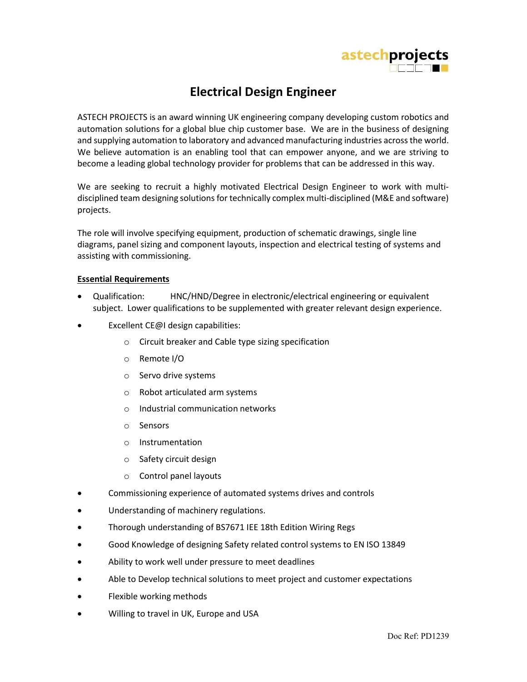

## Electrical Design Engineer

ASTECH PROJECTS is an award winning UK engineering company developing custom robotics and automation solutions for a global blue chip customer base. We are in the business of designing and supplying automation to laboratory and advanced manufacturing industries across the world. We believe automation is an enabling tool that can empower anyone, and we are striving to become a leading global technology provider for problems that can be addressed in this way.

We are seeking to recruit a highly motivated Electrical Design Engineer to work with multidisciplined team designing solutions for technically complex multi-disciplined (M&E and software) projects.

The role will involve specifying equipment, production of schematic drawings, single line diagrams, panel sizing and component layouts, inspection and electrical testing of systems and assisting with commissioning.

## Essential Requirements

- Qualification: HNC/HND/Degree in electronic/electrical engineering or equivalent subject. Lower qualifications to be supplemented with greater relevant design experience.
- **Excellent CE@I design capabilities:** 
	- o Circuit breaker and Cable type sizing specification
	- o Remote I/O
	- o Servo drive systems
	- o Robot articulated arm systems
	- o Industrial communication networks
	- o Sensors
	- o Instrumentation
	- o Safety circuit design
	- o Control panel layouts
- Commissioning experience of automated systems drives and controls
- Understanding of machinery regulations.
- Thorough understanding of BS7671 IEE 18th Edition Wiring Regs
- Good Knowledge of designing Safety related control systems to EN ISO 13849
- Ability to work well under pressure to meet deadlines
- Able to Develop technical solutions to meet project and customer expectations
- Flexible working methods
- Willing to travel in UK, Europe and USA